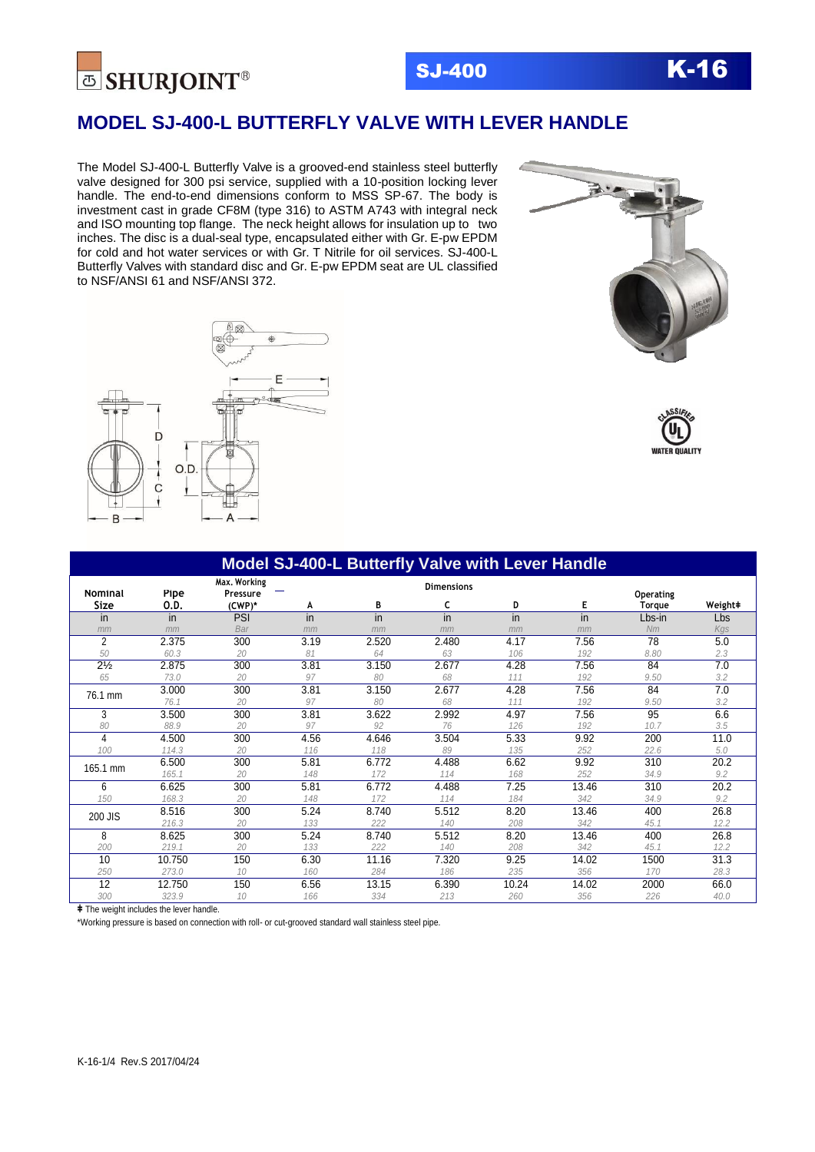

# SJ-400 K-16

## **MODEL SJ-400-L BUTTERFLY VALVE WITH LEVER HANDLE**

The Model SJ-400-L Butterfly Valve is a grooved-end stainless steel butterfly valve designed for 300 psi service, supplied with a 10-position locking lever handle. The end-to-end dimensions conform to MSS SP-67. The body is investment cast in grade CF8M (type 316) to ASTM A743 with integral neck and ISO mounting top flange. The neck height allows for insulation up to two inches. The disc is a dual-seal type, encapsulated either with Gr. E-pw EPDM for cold and hot water services or with Gr. T Nitrile for oil services. SJ-400-L Butterfly Valves with standard disc and Gr. E-pw EPDM seat are UL classified to NSF/ANSI 61 and NSF/ANSI 372.







| <b>Model SJ-400-L Butterfly Valve with Lever Handle</b> |              |                                    |      |       |                        |       |       |                     |         |
|---------------------------------------------------------|--------------|------------------------------------|------|-------|------------------------|-------|-------|---------------------|---------|
| <b>Nominal</b><br>Size                                  | Pipe<br>0.D. | Max. Working<br>Pressure<br>(CWP)* | A    | В     | <b>Dimensions</b><br>c | D     | Е     | Operating<br>Torque | Weight# |
| in                                                      | in           | PSI                                | in   | in    | in                     | in    | in    | Lbs-in              | Lbs     |
| mm                                                      | mm           | Bar                                | mm   | mm    | mm                     | mm    | mm    | Nm                  | Kas     |
| $\overline{2}$                                          | 2.375        | 300                                | 3.19 | 2.520 | 2.480                  | 4.17  | 7.56  | 78                  | 5.0     |
| 50                                                      | 60.3         | 20                                 | 81   | 64    | 63                     | 106   | 192   | 8.80                | 2.3     |
| $2\frac{1}{2}$                                          | 2.875        | 300                                | 3.81 | 3.150 | 2.677                  | 4.28  | 7.56  | 84                  | 7.0     |
| 65                                                      | 73.0         | 20                                 | 97   | 80    | 68                     | 111   | 192   | 9.50                | 3.2     |
|                                                         | 3.000        | 300                                | 3.81 | 3.150 | 2.677                  | 4.28  | 7.56  | 84                  | 7.0     |
| 76.1 mm                                                 | 76.1         | 20                                 | 97   | 80    | 68                     | 111   | 192   | 9.50                | 3.2     |
| 3                                                       | 3.500        | 300                                | 3.81 | 3.622 | 2.992                  | 4.97  | 7.56  | 95                  | 6.6     |
| 80                                                      | 88.9         | 20                                 | 97   | 92    | 76                     | 126   | 192   | 10.7                | 3.5     |
| 4                                                       | 4.500        | 300                                | 4.56 | 4.646 | 3.504                  | 5.33  | 9.92  | 200                 | 11.0    |
| 100                                                     | 114.3        | 20                                 | 116  | 118   | 89                     | 135   | 252   | 22.6                | 5.0     |
| 165.1 mm                                                | 6.500        | 300                                | 5.81 | 6.772 | 4.488                  | 6.62  | 9.92  | 310                 | 20.2    |
|                                                         | 165.1        | 20                                 | 148  | 172   | 114                    | 168   | 252   | 34.9                | 9.2     |
| 6                                                       | 6.625        | 300                                | 5.81 | 6.772 | 4.488                  | 7.25  | 13.46 | 310                 | 20.2    |
| 150                                                     | 168.3        | 20                                 | 148  | 172   | 114                    | 184   | 342   | 34.9                | 9.2     |
| 200 JIS                                                 | 8.516        | 300                                | 5.24 | 8.740 | 5.512                  | 8.20  | 13.46 | 400                 | 26.8    |
|                                                         | 216.3        | 20                                 | 133  | 222   | 140                    | 208   | 342   | 45.1                | 12.2    |
| 8                                                       | 8.625        | 300                                | 5.24 | 8.740 | 5.512                  | 8.20  | 13.46 | 400                 | 26.8    |
| 200                                                     | 219.1        | 20                                 | 133  | 222   | 140                    | 208   | 342   | 45.1                | 12.2    |
| 10                                                      | 10.750       | 150                                | 6.30 | 11.16 | 7.320                  | 9.25  | 14.02 | 1500                | 31.3    |
| 250                                                     | 273.0        | 10                                 | 160  | 284   | 186                    | 235   | 356   | 170                 | 28.3    |
| 12                                                      | 12.750       | 150                                | 6.56 | 13.15 | 6.390                  | 10.24 | 14.02 | 2000                | 66.0    |
| 300                                                     | 323.9        | 10                                 | 166  | 334   | 213                    | 260   | 356   | 226                 | 40.0    |

**ǂ** The weight includes the lever handle.

\*Working pressure is based on connection with roll- or cut-grooved standard wall stainless steel pipe.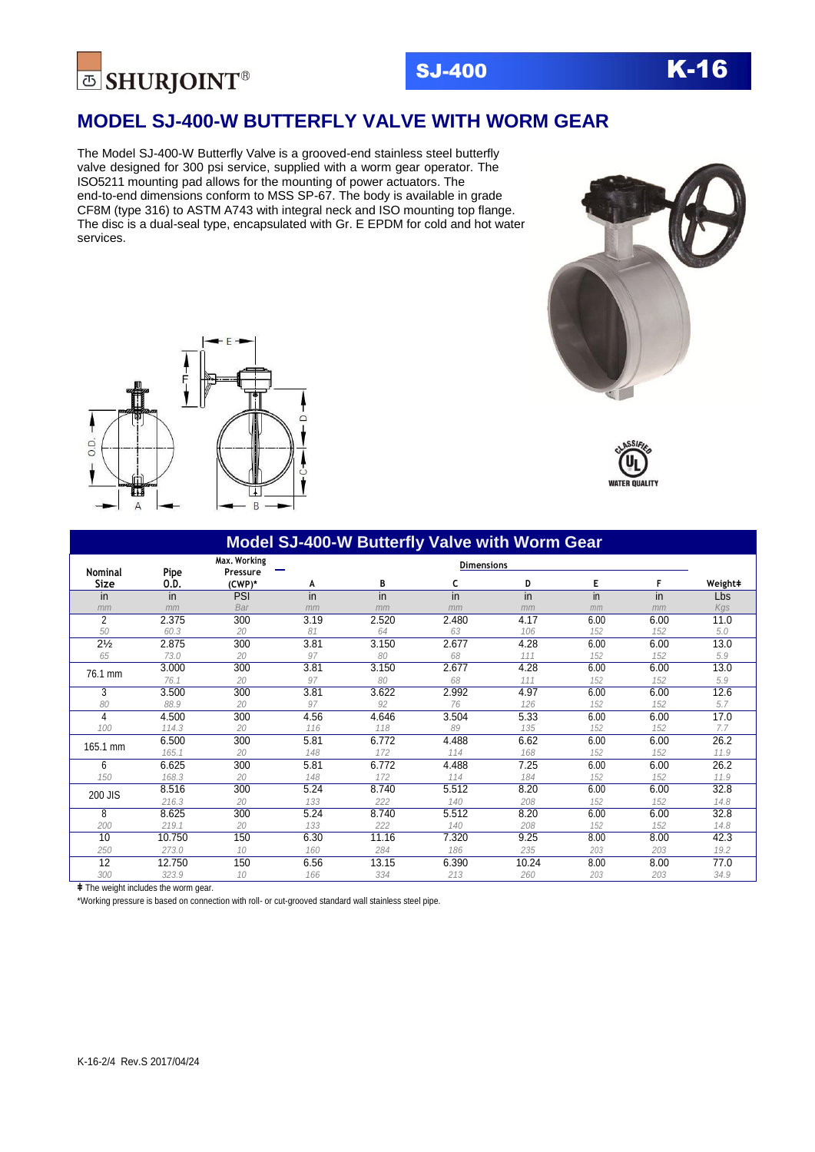

**MODEL SJ-400-W BUTTERFLY VALVE WITH WORM GEAR**

The Model SJ-400-W Butterfly Valve is a grooved-end stainless steel butterfly valve designed for 300 psi service, supplied with a worm gear operator. The ISO5211 mounting pad allows for the mounting of power actuators. The end-to-end dimensions conform to MSS SP-67. The body is available in grade CF8M (type 316) to ASTM A743 with integral neck and ISO mounting top flange. The disc is a dual-seal type, encapsulated with Gr. E EPDM for cold and hot water services.







| Max. Working<br><b>Nominal</b> |              |                    |      | <b>Dimensions</b> |                 |       |      |      |         |
|--------------------------------|--------------|--------------------|------|-------------------|-----------------|-------|------|------|---------|
| <b>Size</b>                    | Pipe<br>0.D. | Pressure<br>(CWP)* | А    | В                 | c               | D     | Е    | F    | Weight# |
| in                             | in           | PSI                | in   | $\overline{in}$   | $\overline{in}$ | in    | in   | in   | Lbs     |
| mm                             | mm           | Bar                | mm   | mm                | mm              | mm    | mm   | mm   | Kgs     |
| $\overline{2}$                 | 2.375        | 300                | 3.19 | 2.520             | 2.480           | 4.17  | 6.00 | 6.00 | 11.0    |
| 50                             | 60.3         | 20                 | 81   | 64                | 63              | 106   | 152  | 152  | 5.0     |
| $2\frac{1}{2}$                 | 2.875        | 300                | 3.81 | 3.150             | 2.677           | 4.28  | 6.00 | 6.00 | 13.0    |
| 65                             | 73.0         | 20                 | 97   | 80                | 68              | 111   | 152  | 152  | 5.9     |
|                                | 3.000        | 300                | 3.81 | 3.150             | 2.677           | 4.28  | 6.00 | 6.00 | 13.0    |
| 76.1 mm                        | 76.1         | 20                 | 97   | 80                | 68              | 111   | 152  | 152  | 5.9     |
| 3                              | 3.500        | 300                | 3.81 | 3.622             | 2.992           | 4.97  | 6.00 | 6.00 | 12.6    |
| 80                             | 88.9         | 20                 | 97   | 92                | 76              | 126   | 152  | 152  | 5.7     |
| 4                              | 4.500        | 300                | 4.56 | 4.646             | 3.504           | 5.33  | 6.00 | 6.00 | 17.0    |
| 100                            | 114.3        | 20                 | 116  | 118               | 89              | 135   | 152  | 152  | 7.7     |
|                                | 6.500        | 300                | 5.81 | 6.772             | 4.488           | 6.62  | 6.00 | 6.00 | 26.2    |
| 165.1 mm                       | 165.1        | 20                 | 148  | 172               | 114             | 168   | 152  | 152  | 11.9    |
| 6                              | 6.625        | 300                | 5.81 | 6.772             | 4.488           | 7.25  | 6.00 | 6.00 | 26.2    |
| 150                            | 168.3        | 20                 | 148  | 172               | 114             | 184   | 152  | 152  | 11.9    |
|                                | 8.516        | 300                | 5.24 | 8.740             | 5.512           | 8.20  | 6.00 | 6.00 | 32.8    |
| 200 JIS                        | 216.3        | 20                 | 133  | 222               | 140             | 208   | 152  | 152  | 14.8    |
| 8                              | 8.625        | 300                | 5.24 | 8.740             | 5.512           | 8.20  | 6.00 | 6.00 | 32.8    |
| 200                            | 219.1        | 20                 | 133  | 222               | 140             | 208   | 152  | 152  | 14.8    |
| 10                             | 10.750       | 150                | 6.30 | 11.16             | 7.320           | 9.25  | 8.00 | 8.00 | 42.3    |
| 250                            | 273.0        | 10                 | 160  | 284               | 186             | 235   | 203  | 203  | 19.2    |
| $\overline{12}$                | 12.750       | 150                | 6.56 | 13.15             | 6.390           | 10.24 | 8.00 | 8.00 | 77.0    |
| 300                            | 323.9        | 10                 | 166  | 334               | 213             | 260   | 203  | 203  | 34.9    |

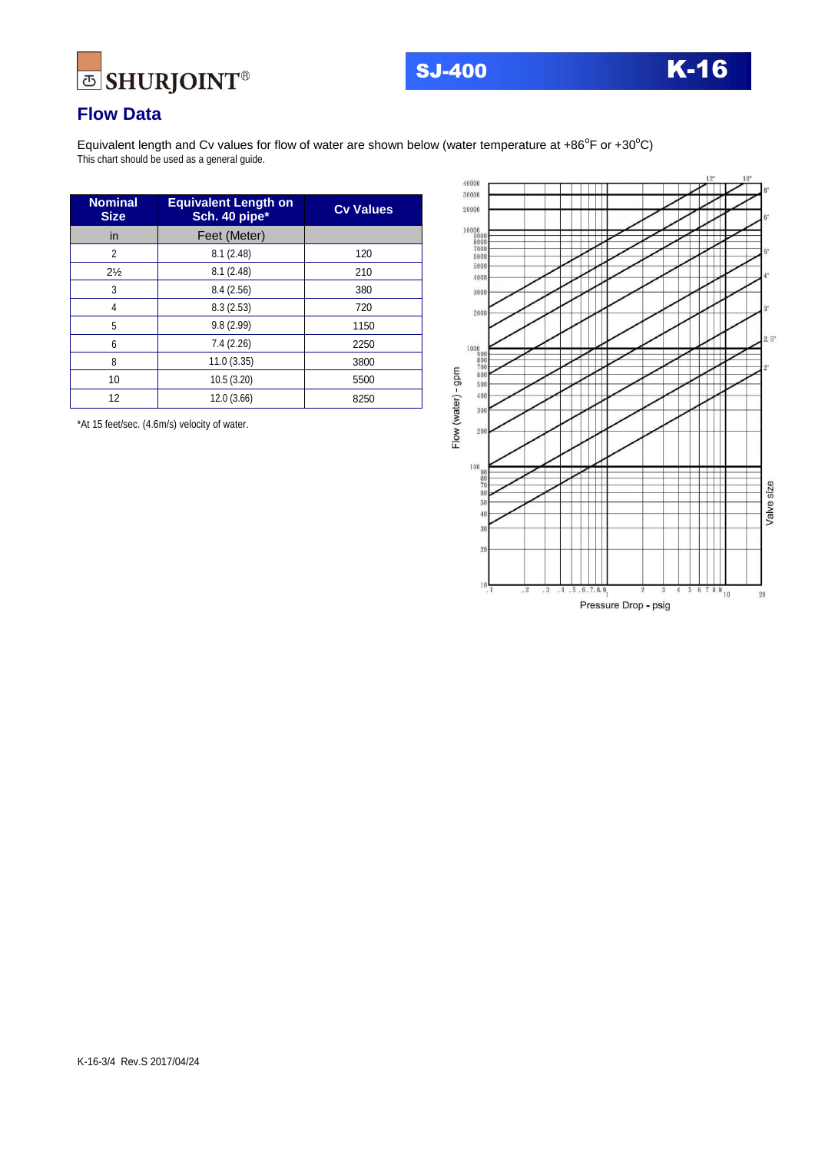



## **Flow Data**

Equivalent length and Cv values for flow of water are shown below (water temperature at +86°F or +30°C) This chart should be used as a general guide.

| <b>Nominal</b><br><b>Size</b> | <b>Equivalent Length on</b><br>Sch. 40 pipe* | <b>Cv Values</b> |  |  |
|-------------------------------|----------------------------------------------|------------------|--|--|
| in                            | Feet (Meter)                                 |                  |  |  |
| 2                             | 8.1(2.48)                                    | 120              |  |  |
| $2\frac{1}{2}$                | 8.1(2.48)                                    | 210              |  |  |
| 3                             | 8.4(2.56)                                    | 380              |  |  |
| 4                             | 8.3(2.53)                                    | 720              |  |  |
| 5                             | 9.8(2.99)                                    | 1150             |  |  |
| 6                             | 7.4 (2.26)                                   | 2250             |  |  |
| 8                             | 11.0(3.35)                                   | 3800             |  |  |
| 10                            | 10.5(3.20)                                   | 5500             |  |  |
| 12                            | 12.0 (3.66)                                  | 8250             |  |  |

\*At 15 feet/sec. (4.6m/s) velocity of water.